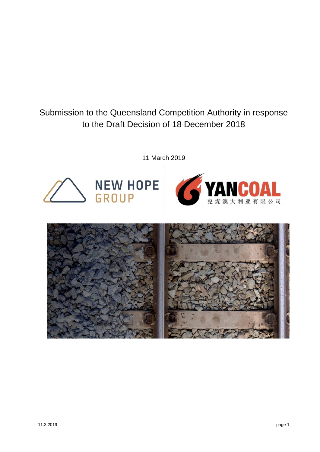Submission to the Queensland Competition Authority in response to the Draft Decision of 18 December 2018

11 March 2019





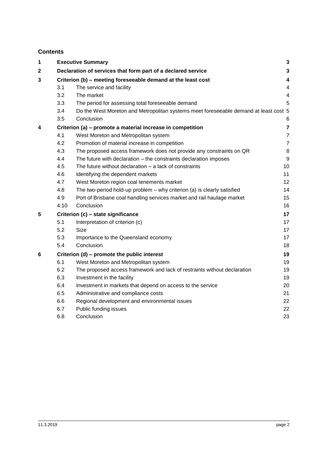# **Contents**

| 1           |                                                              | <b>Executive Summary</b>                                                             | 3                        |  |
|-------------|--------------------------------------------------------------|--------------------------------------------------------------------------------------|--------------------------|--|
| $\mathbf 2$ |                                                              | Declaration of services that form part of a declared service                         | 3                        |  |
| 3           | Criterion (b) - meeting foreseeable demand at the least cost |                                                                                      |                          |  |
|             | 3.1                                                          | The service and facility                                                             | $\overline{\mathcal{L}}$ |  |
|             | 3.2                                                          | The market                                                                           | 4                        |  |
|             | 3.3                                                          | The period for assessing total foreseeable demand                                    | 5                        |  |
|             | 3.4                                                          | Do the West Moreton and Metropolitan systems meet foreseeable demand at least cost 5 |                          |  |
|             | 3.5                                                          | Conclusion                                                                           | 6                        |  |
| 4           |                                                              | Criterion (a) - promote a material increase in competition                           | 7                        |  |
|             | 4.1                                                          | West Moreton and Metropolitan system                                                 | $\overline{7}$           |  |
|             | 4.2                                                          | Promotion of material increase in competition                                        | $\overline{7}$           |  |
|             | 4.3                                                          | The proposed access framework does not provide any constraints on QR                 | 8                        |  |
|             | 4.4                                                          | The future with declaration - the constraints declaration imposes                    | 9                        |  |
|             | 4.5                                                          | The future without declaration $-$ a lack of constraints                             | 10                       |  |
|             | 4.6                                                          | Identifying the dependent markets                                                    | 11                       |  |
|             | 4.7                                                          | West Moreton region coal tenements market                                            | 12                       |  |
|             | 4.8                                                          | The two-period hold-up problem - why criterion (a) is clearly satisfied              | 14                       |  |
|             | 4.9                                                          | Port of Brisbane coal handling services market and rail haulage market               | 15                       |  |
|             | 4.10                                                         | Conclusion                                                                           | 16                       |  |
| 5           | 17<br>Criterion (c) - state significance                     |                                                                                      |                          |  |
|             | 5.1                                                          | Interpretation of criterion (c)                                                      | 17                       |  |
|             | 5.2                                                          | <b>Size</b>                                                                          | 17                       |  |
|             | 5.3                                                          | Importance to the Queensland economy                                                 | 17                       |  |
|             | 5.4                                                          | Conclusion                                                                           | 18                       |  |
| 6           | Criterion (d) – promote the public interest                  |                                                                                      |                          |  |
|             | 6.1                                                          | West Moreton and Metropolitan system                                                 | 19                       |  |
|             | 6.2                                                          | The proposed access framework and lack of restraints without declaration             | 19                       |  |
|             | 6.3                                                          | Investment in the facility                                                           | 19                       |  |
|             | 6.4                                                          | Investment in markets that depend on access to the service                           | 20                       |  |
|             | 6.5                                                          | Administrative and compliance costs                                                  | 21                       |  |
|             | 6.6                                                          | Regional development and environmental issues                                        | 22                       |  |
|             | 6.7                                                          | Public funding issues                                                                | 22                       |  |
|             | 6.8                                                          | Conclusion                                                                           | 23                       |  |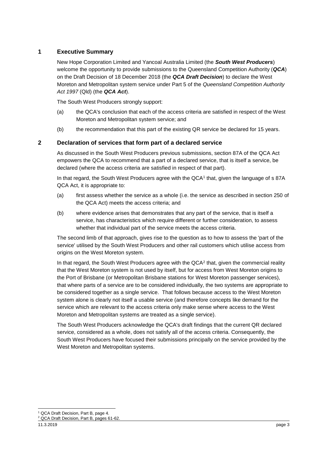## <span id="page-2-0"></span>**1 Executive Summary**

New Hope Corporation Limited and Yancoal Australia Limited (the *South West Producers*) welcome the opportunity to provide submissions to the Queensland Competition Authority (*QCA*) on the Draft Decision of 18 December 2018 (the *QCA Draft Decision*) to declare the West Moreton and Metropolitan system service under Part 5 of the *Queensland Competition Authority Act 1997* (Qld) (the *QCA Act*).

The South West Producers strongly support:

- (a) the QCA's conclusion that each of the access criteria are satisfied in respect of the West Moreton and Metropolitan system service; and
- (b) the recommendation that this part of the existing QR service be declared for 15 years.

## <span id="page-2-1"></span>**2 Declaration of services that form part of a declared service**

As discussed in the South West Producers previous submissions, section 87A of the QCA Act empowers the QCA to recommend that a part of a declared service, that is itself a service, be declared (where the access criteria are satisfied in respect of that part).

In that regard, the South West Producers agree with the QCA<sup>1</sup> that, given the language of s 87A QCA Act, it is appropriate to:

- (a) first assess whether the service as a whole (i.e. the service as described in section 250 of the QCA Act) meets the access criteria; and
- (b) where evidence arises that demonstrates that any part of the service, that is itself a service, has characteristics which require different or further consideration, to assess whether that individual part of the service meets the access criteria.

The second limb of that approach, gives rise to the question as to how to assess the 'part of the service' utilised by the South West Producers and other rail customers which utilise access from origins on the West Moreton system.

In that regard, the South West Producers agree with the  $QCA<sup>2</sup>$  that, given the commercial reality that the West Moreton system is not used by itself, but for access from West Moreton origins to the Port of Brisbane (or Metropolitan Brisbane stations for West Moreton passenger services), that where parts of a service are to be considered individually, the two systems are appropriate to be considered together as a single service. That follows because access to the West Moreton system alone is clearly not itself a usable service (and therefore concepts like demand for the service which are relevant to the access criteria only make sense where access to the West Moreton and Metropolitan systems are treated as a single service).

The South West Producers acknowledge the QCA's draft findings that the current QR declared service, considered as a whole, does not satisfy all of the access criteria. Consequently, the South West Producers have focused their submissions principally on the service provided by the West Moreton and Metropolitan systems.

<sup>-</sup><sup>1</sup> QCA Draft Decision, Part B, page 4.

<sup>2</sup> QCA Draft Decision, Part B, pages 61-62.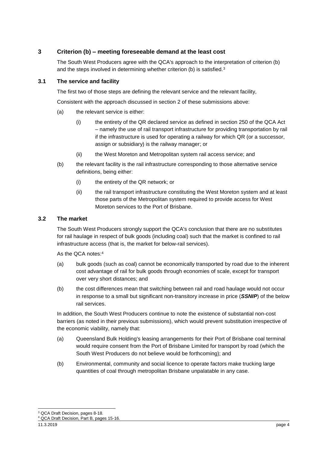## <span id="page-3-0"></span>**3 Criterion (b) – meeting foreseeable demand at the least cost**

The South West Producers agree with the QCA's approach to the interpretation of criterion (b) and the steps involved in determining whether criterion (b) is satisfied.<sup>3</sup>

#### <span id="page-3-1"></span>**3.1 The service and facility**

The first two of those steps are defining the relevant service and the relevant facility,

Consistent with the approach discussed in section [2](#page-2-1) of these submissions above:

- (a) the relevant service is either:
	- (i) the entirety of the QR declared service as defined in section 250 of the QCA Act – namely the use of rail transport infrastructure for providing transportation by rail if the infrastructure is used for operating a railway for which QR (or a successor, assign or subsidiary) is the railway manager; or
	- (ii) the West Moreton and Metropolitan system rail access service; and
- (b) the relevant facility is the rail infrastructure corresponding to those alternative service definitions, being either:
	- (i) the entirety of the QR network; or
	- (ii) the rail transport infrastructure constituting the West Moreton system and at least those parts of the Metropolitan system required to provide access for West Moreton services to the Port of Brisbane.

#### <span id="page-3-2"></span>**3.2 The market**

The South West Producers strongly support the QCA's conclusion that there are no substitutes for rail haulage in respect of bulk goods (including coal) such that the market is confined to rail infrastructure access (that is, the market for below-rail services).

As the QCA notes:<sup>4</sup>

- (a) bulk goods (such as coal) cannot be economically transported by road due to the inherent cost advantage of rail for bulk goods through economies of scale, except for transport over very short distances; and
- (b) the cost differences mean that switching between rail and road haulage would not occur in response to a small but significant non-transitory increase in price (*SSNIP*) of the below rail services.

In addition, the South West Producers continue to note the existence of substantial non-cost barriers (as noted in their previous submissions), which would prevent substitution irrespective of the economic viability, namely that:

- (a) Queensland Bulk Holding's leasing arrangements for their Port of Brisbane coal terminal would require consent from the Port of Brisbane Limited for transport by road (which the South West Producers do not believe would be forthcoming); and
- (b) Environmental, community and social licence to operate factors make trucking large quantities of coal through metropolitan Brisbane unpalatable in any case.

<sup>-</sup><sup>3</sup> QCA Draft Decision, pages 8-18.

<sup>4</sup> QCA Draft Decision, Part B, pages 15-16.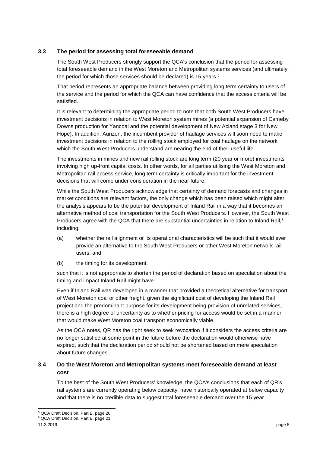## <span id="page-4-0"></span>**3.3 The period for assessing total foreseeable demand**

The South West Producers strongly support the QCA's conclusion that the period for assessing total foreseeable demand in the West Moreton and Metropolitan systems services (and ultimately, the period for which those services should be declared) is 15 years.<sup>5</sup>

That period represents an appropriate balance between providing long term certainty to users of the service and the period for which the QCA can have confidence that the access criteria will be satisfied.

It is relevant to determining the appropriate period to note that both South West Producers have investment decisions in relation to West Moreton system mines (a potential expansion of Cameby Downs production for Yancoal and the potential development of New Acland stage 3 for New Hope). In addition, Aurizon, the incumbent provider of haulage services will soon need to make investment decisions in relation to the rolling stock employed for coal haulage on the network which the South West Producers understand are nearing the end of their useful life.

The investments in mines and new rail rolling stock are long term (20 year or more) investments involving high up-front capital costs. In other words, for all parties utilising the West Moreton and Metropolitan rail access service, long term certainty is critically important for the investment decisions that will come under consideration in the near future.

While the South West Producers acknowledge that certainty of demand forecasts and changes in market conditions are relevant factors, the only change which has been raised which might alter the analysis appears to be the potential development of Inland Rail in a way that it becomes an alternative method of coal transportation for the South West Producers. However, the South West Producers agree with the QCA that there are substantial uncertainties in relation to Inland Rail,<sup>6</sup> including:

- (a) whether the rail alignment or its operational characteristics will be such that it would ever provide an alternative to the South West Producers or other West Moreton network rail users; and
- (b) the timing for its development,

such that it is not appropriate to shorten the period of declaration based on speculation about the timing and impact Inland Rail might have.

Even if Inland Rail was developed in a manner that provided a theoretical alternative for transport of West Moreton coal or other freight, given the significant cost of developing the Inland Rail project and the predominant purpose for its development being provision of unrelated services, there is a high degree of uncertainty as to whether pricing for access would be set in a manner that would make West Moreton coal transport economically viable.

As the QCA notes, QR has the right seek to seek revocation if it considers the access criteria are no longer satisfied at some point in the future before the declaration would otherwise have expired, such that the declaration period should not be shortened based on mere speculation about future changes.

## <span id="page-4-1"></span>**3.4 Do the West Moreton and Metropolitan systems meet foreseeable demand at least cost**

To the best of the South West Producers' knowledge, the QCA's conclusions that each of QR's rail systems are currently operating below capacity, have historically operated at below capacity and that there is no credible data to suggest total foreseeable demand over the 15 year

<sup>-</sup><sup>5</sup> QCA Draft Decision, Part B, page 20.

<sup>6</sup> QCA Draft Decision, Part B, page 21.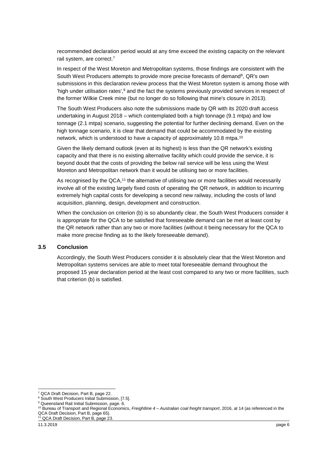recommended declaration period would at any time exceed the existing capacity on the relevant rail system, are correct.<sup>7</sup>

In respect of the West Moreton and Metropolitan systems, those findings are consistent with the South West Producers attempts to provide more precise forecasts of demand<sup>8</sup>, QR's own submissions in this declaration review process that the West Moreton system is among those with 'high under utilisation rates',<sup>9</sup> and the fact the systems previously provided services in respect of the former Wilkie Creek mine (but no longer do so following that mine's closure in 2013).

The South West Producers also note the submissions made by QR with its 2020 draft access undertaking in August 2018 – which contemplated both a high tonnage (9.1 mtpa) and low tonnage (2.1 mtpa) scenario, suggesting the potential for further declining demand. Even on the high tonnage scenario, it is clear that demand that could be accommodated by the existing network, which is understood to have a capacity of approximately 10.8 mtpa.<sup>10</sup>

Given the likely demand outlook (even at its highest) is less than the QR network's existing capacity and that there is no existing alternative facility which could provide the service, it is beyond doubt that the costs of providing the below rail service will be less using the West Moreton and Metropolitan network than it would be utilising two or more facilities.

As recognised by the QCA,<sup>11</sup> the alternative of utilising two or more facilities would necessarily involve all of the existing largely fixed costs of operating the QR network, in addition to incurring extremely high capital costs for developing a second new railway, including the costs of land acquisition, planning, design, development and construction.

When the conclusion on criterion (b) is so abundantly clear, the South West Producers consider it is appropriate for the QCA to be satisfied that foreseeable demand can be met at least cost by the QR network rather than any two or more facilities (without it being necessary for the QCA to make more precise finding as to the likely foreseeable demand).

#### <span id="page-5-0"></span>**3.5 Conclusion**

Accordingly, the South West Producers consider it is absolutely clear that the West Moreton and Metropolitan systems services are able to meet total foreseeable demand throughout the proposed 15 year declaration period at the least cost compared to any two or more facilities, such that criterion (b) is satisfied.

-

<sup>7</sup> QCA Draft Decision, Part B, page 22.

<sup>&</sup>lt;sup>8</sup> South West Producers Initial Submission, [7.5].

<sup>9</sup> Queensland Rail Initial Submission, page. 6.

<sup>10</sup> Bureau of Transport and Regional Economics, *Freightline 4 – Australian coal freight transport*, 2016, at 14 (as referenced in the QCA Draft Decision, Part B, page 65).

<sup>&</sup>lt;sup>11</sup> QCA Draft Decision, Part B, page 23.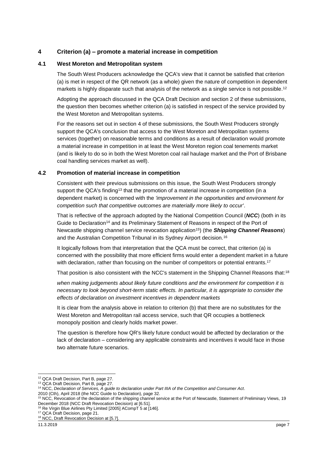## <span id="page-6-0"></span>**4 Criterion (a) – promote a material increase in competition**

#### <span id="page-6-1"></span>**4.1 West Moreton and Metropolitan system**

The South West Producers acknowledge the QCA's view that it cannot be satisfied that criterion (a) is met in respect of the QR network (as a whole) given the nature of competition in dependent markets is highly disparate such that analysis of the network as a single service is not possible.<sup>12</sup>

Adopting the approach discussed in the QCA Draft Decision and section [2](#page-2-1) of these submissions, the question then becomes whether criterion (a) is satisfied in respect of the service provided by the West Moreton and Metropolitan systems.

For the reasons set out in section [4](#page-6-0) of these submissions, the South West Producers strongly support the QCA's conclusion that access to the West Moreton and Metropolitan systems services (together) on reasonable terms and conditions as a result of declaration would promote a material increase in competition in at least the West Moreton region coal tenements market (and is likely to do so in both the West Moreton coal rail haulage market and the Port of Brisbane coal handling services market as well).

#### <span id="page-6-2"></span>**4.2 Promotion of material increase in competition**

Consistent with their previous submissions on this issue, the South West Producers strongly support the QCA's finding<sup>13</sup> that the promotion of a material increase in competition (in a dependent market) is concerned with the *'improvement in the opportunities and environment for competition such that competitive outcomes are materially more likely to occur'*.

That is reflective of the approach adopted by the National Competition Council (*NCC*) (both in its Guide to Declaration<sup>14</sup> and its Preliminary Statement of Reasons in respect of the Port of Newcastle shipping channel service revocation application<sup>15</sup>) (the *Shipping Channel Reasons*) and the Australian Competition Tribunal in its Sydney Airport decision.<sup>16</sup>

It logically follows from that interpretation that the QCA must be correct, that criterion (a) is concerned with the possibility that more efficient firms would enter a dependent market in a future with declaration, rather than focusing on the number of competitors or potential entrants.<sup>17</sup>

That position is also consistent with the NCC's statement in the Shipping Channel Reasons that:<sup>18</sup>

*when making judgements about likely future conditions and the environment for competition it is necessary to look beyond short-term static effects. In particular, it is appropriate to consider the effects of declaration on investment incentives in dependent markets*

It is clear from the analysis above in relation to criterion (b) that there are no substitutes for the West Moreton and Metropolitan rail access service, such that QR occupies a bottleneck monopoly position and clearly holds market power.

The question is therefore how QR's likely future conduct would be affected by declaration or the lack of declaration – considering any applicable constraints and incentives it would face in those two alternate future scenarios.

1

<sup>&</sup>lt;sup>12</sup> QCA Draft Decision, Part B, page 27.

<sup>13</sup> QCA Draft Decision, Part B, page 27.

<sup>14</sup> NCC, *Declaration of Services, A guide to declaration under Part IIIA of the Competition and Consumer Act*.

<sup>2010 (</sup>Cth), April 2018 (the NCC Guide to Declaration), page 32.

<sup>15</sup> NCC, Revocation of the declaration of the shipping channel service at the Port of Newcastle, Statement of Preliminary Views, 19 December 2018 (NCC Draft Revocation Decision) at [6.51].

<sup>&</sup>lt;sup>16</sup> Re Virgin Blue Airlines Pty Limited [2005] ACompT 5 at [146].

<sup>17</sup> QCA Draft Decision, page 21.

<sup>&</sup>lt;sup>18</sup> NCC, Draft Revocation Decision at [5.7].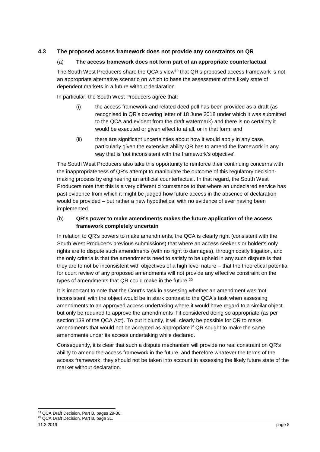## <span id="page-7-0"></span>**4.3 The proposed access framework does not provide any constraints on QR**

#### (a) **The access framework does not form part of an appropriate counterfactual**

The South West Producers share the QCA's view<sup>19</sup> that QR's proposed access framework is not an appropriate alternative scenario on which to base the assessment of the likely state of dependent markets in a future without declaration.

In particular, the South West Producers agree that:

- (i) the access framework and related deed poll has been provided as a draft (as recognised in QR's covering letter of 18 June 2018 under which it was submitted to the QCA and evident from the draft watermark) and there is no certainty it would be executed or given effect to at all, or in that form; and
- (ii) there are significant uncertainties about how it would apply in any case, particularly given the extensive ability QR has to amend the framework in any way that is 'not inconsistent with the framework's objective'.

The South West Producers also take this opportunity to reinforce their continuing concerns with the inappropriateness of QR's attempt to manipulate the outcome of this regulatory decisionmaking process by engineering an artificial counterfactual. In that regard, the South West Producers note that this is a very different circumstance to that where an undeclared service has past evidence from which it might be judged how future access in the absence of declaration would be provided – but rather a new hypothetical with no evidence of ever having been implemented.

#### (b) **QR's power to make amendments makes the future application of the access framework completely uncertain**

In relation to QR's powers to make amendments, the QCA is clearly right (consistent with the South West Producer's previous submissions) that where an access seeker's or holder's only rights are to dispute such amendments (with no right to damages), through costly litigation, and the only criteria is that the amendments need to satisfy to be upheld in any such dispute is that they are to not be inconsistent with objectives of a high level nature – that the theoretical potential for court review of any proposed amendments will not provide any effective constraint on the types of amendments that QR could make in the future.<sup>20</sup>

It is important to note that the Court's task in assessing whether an amendment was 'not inconsistent' with the object would be in stark contrast to the QCA's task when assessing amendments to an approved access undertaking where it would have regard to a similar object but only be required to approve the amendments if it considered doing so appropriate (as per section 138 of the QCA Act). To put it bluntly, it will clearly be possible for QR to make amendments that would not be accepted as appropriate if QR sought to make the same amendments under its access undertaking while declared.

Consequently, it is clear that such a dispute mechanism will provide no real constraint on QR's ability to amend the access framework in the future, and therefore whatever the terms of the access framework, they should not be taken into account in assessing the likely future state of the market without declaration.

<sup>-</sup><sup>19</sup> QCA Draft Decision, Part B, pages 29-30. <sup>20</sup> QCA Draft Decision, Part B, page 31.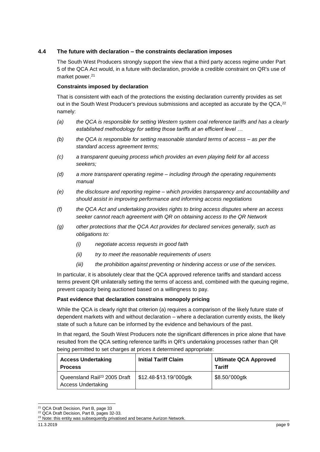### <span id="page-8-0"></span>**4.4 The future with declaration – the constraints declaration imposes**

The South West Producers strongly support the view that a third party access regime under Part 5 of the QCA Act would, in a future with declaration, provide a credible constraint on QR's use of market power. 21

#### **Constraints imposed by declaration**

That is consistent with each of the protections the existing declaration currently provides as set out in the South West Producer's previous submissions and accepted as accurate by the QCA,<sup>22</sup> namely:

- *(a) the QCA is responsible for setting Western system coal reference tariffs and has a clearly established methodology for setting those tariffs at an efficient level …*
- *(b) the QCA is responsible for setting reasonable standard terms of access – as per the standard access agreement terms;*
- *(c) a transparent queuing process which provides an even playing field for all access seekers;*
- *(d) a more transparent operating regime – including through the operating requirements manual*
- *(e) the disclosure and reporting regime – which provides transparency and accountability and should assist in improving performance and informing access negotiations*
- *(f) the QCA Act and undertaking provides rights to bring access disputes where an access seeker cannot reach agreement with QR on obtaining access to the QR Network*
- *(g) other protections that the QCA Act provides for declared services generally, such as obligations to:*
	- *(i) negotiate access requests in good faith*
	- *(ii) try to meet the reasonable requirements of users*
	- *(iii) the prohibition against preventing or hindering access or use of the services.*

In particular, it is absolutely clear that the QCA approved reference tariffs and standard access terms prevent QR unilaterally setting the terms of access and, combined with the queuing regime, prevent capacity being auctioned based on a willingness to pay.

#### **Past evidence that declaration constrains monopoly pricing**

While the QCA is clearly right that criterion (a) requires a comparison of the likely future state of dependent markets with and without declaration – where a declaration currently exists, the likely state of such a future can be informed by the evidence and behaviours of the past.

In that regard, the South West Producers note the significant differences in price alone that have resulted from the QCA setting reference tariffs in QR's undertaking processes rather than QR being permitted to set charges at prices it determined appropriate:

| <b>Access Undertaking</b><br><b>Process</b>                           | <b>Initial Tariff Claim</b> | <b>Ultimate QCA Approved</b><br><b>Tariff</b> |
|-----------------------------------------------------------------------|-----------------------------|-----------------------------------------------|
| Queensland Rail <sup>23</sup> 2005 Draft<br><b>Access Undertaking</b> | \$12.48-\$13.19/'000gtk     | \$8.50/'000gtk                                |

<sup>1</sup> <sup>21</sup> QCA Draft Decision, Part B, page 33

<sup>&</sup>lt;sup>22</sup> QCA Draft Decision, Part B, pages 32-33.

<sup>&</sup>lt;sup>23</sup> Note: this entity was subsequently privatised and became Aurizon Network.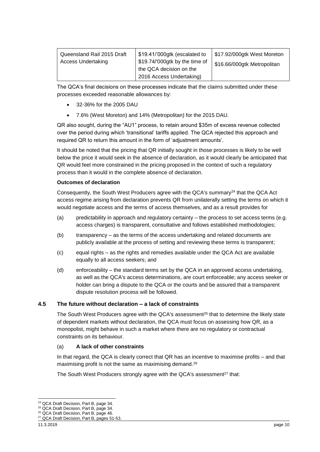| Queensland Rail 2015 Draft<br>Access Undertaking | \$19.41/'000gtk (escalated to<br>\$19.74/'000gtk by the time of<br>the QCA decision on the | \$17.92/000gtk West Moreton<br>\$16.66/000gtk Metropolitan |
|--------------------------------------------------|--------------------------------------------------------------------------------------------|------------------------------------------------------------|
|                                                  | 2016 Access Undertaking)                                                                   |                                                            |

The QCA's final decisions on these processes indicate that the claims submitted under these processes exceeded reasonable allowances by:

- 32-36% for the 2005 DAU
- 7.6% (West Moreton) and 14% (Metropolitan) for the 2015 DAU.

QR also sought, during the "AU1" process, to retain around \$35m of excess revenue collected over the period during which 'transitional' tariffs applied. The QCA rejected this approach and required QR to return this amount in the form of 'adjustment amounts'.

It should be noted that the pricing that QR initially sought in those processes is likely to be well below the price it would seek in the absence of declaration, as it would clearly be anticipated that QR would feel more constrained in the pricing proposed in the context of such a regulatory process than it would in the complete absence of declaration.

#### **Outcomes of declaration**

Consequently, the South West Producers agree with the QCA's summary $^{24}$  that the QCA Act access regime arising from declaration prevents QR from unilaterally setting the terms on which it would negotiate access and the terms of access themselves, and as a result provides for

- (a) predictability in approach and regulatory certainty the process to set access terms (e.g. access charges) is transparent, consultative and follows established methodologies;
- (b) transparency as the terms of the access undertaking and related documents are publicly available at the process of setting and reviewing these terms is transparent;
- (c) equal rights as the rights and remedies available under the QCA Act are available equally to all access seekers; and
- (d) enforceability the standard terms set by the QCA in an approved access undertaking, as well as the QCA's access determinations, are court enforceable; any access seeker or holder can bring a dispute to the QCA or the courts and be assured that a transparent dispute resolution process will be followed.

#### <span id="page-9-0"></span>**4.5 The future without declaration – a lack of constraints**

The South West Producers agree with the QCA's assessment<sup>25</sup> that to determine the likely state of dependent markets without declaration, the QCA must focus on assessing how QR, as a monopolist, might behave in such a market where there are no regulatory or contractual constraints on its behaviour.

#### (a) **A lack of other constraints**

In that regard, the QCA is clearly correct that QR has an incentive to maximise profits – and that maximising profit is not the same as maximising demand.<sup>26</sup>

The South West Producers strongly agree with the QCA's assessment<sup>27</sup> that:

<sup>-</sup><sup>24</sup> QCA Draft Decision, Part B, page 34.

<sup>25</sup> QCA Draft Decision, Part B, page 34.

<sup>26</sup> QCA Draft Decision, Part B, page 46.

<sup>&</sup>lt;sup>27</sup> QCA Draft Decision, Part B, pages 51-53.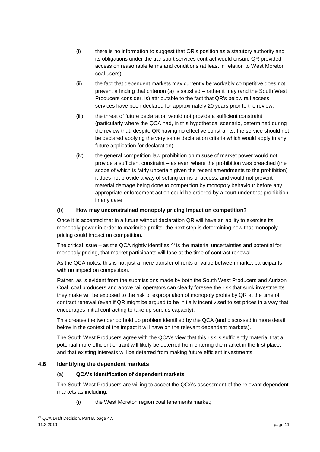- (i) there is no information to suggest that QR's position as a statutory authority and its obligations under the transport services contract would ensure QR provided access on reasonable terms and conditions (at least in relation to West Moreton coal users);
- (ii) the fact that dependent markets may currently be workably competitive does not prevent a finding that criterion (a) is satisfied – rather it may (and the South West Producers consider, is) attributable to the fact that QR's below rail access services have been declared for approximately 20 years prior to the review;
- (iii) the threat of future declaration would not provide a sufficient constraint (particularly where the QCA had, in this hypothetical scenario, determined during the review that, despite QR having no effective constraints, the service should not be declared applying the very same declaration criteria which would apply in any future application for declaration);
- (iv) the general competition law prohibition on misuse of market power would not provide a sufficient constraint – as even where the prohibition was breached (the scope of which is fairly uncertain given the recent amendments to the prohibition) it does not provide a way of setting terms of access, and would not prevent material damage being done to competition by monopoly behaviour before any appropriate enforcement action could be ordered by a court under that prohibition in any case.

## (b) **How may unconstrained monopoly pricing impact on competition?**

Once it is accepted that in a future without declaration QR will have an ability to exercise its monopoly power in order to maximise profits, the next step is determining how that monopoly pricing could impact on competition.

The critical issue – as the QCA rightly identifies,<sup>28</sup> is the material uncertainties and potential for monopoly pricing, that market participants will face at the time of contract renewal.

As the QCA notes, this is not just a mere transfer of rents or value between market participants with no impact on competition.

Rather, as is evident from the submissions made by both the South West Producers and Aurizon Coal, coal producers and above rail operators can clearly foresee the risk that sunk investments they make will be exposed to the risk of expropriation of monopoly profits by QR at the time of contract renewal (even if QR might be argued to be initially incentivised to set prices in a way that encourages initial contracting to take up surplus capacity).

This creates the two period hold up problem identified by the QCA (and discussed in more detail below in the context of the impact it will have on the relevant dependent markets).

The South West Producers agree with the QCA's view that this risk is sufficiently material that a potential more efficient entrant will likely be deterred from entering the market in the first place, and that existing interests will be deterred from making future efficient investments.

### <span id="page-10-0"></span>**4.6 Identifying the dependent markets**

### (a) **QCA's identification of dependent markets**

The South West Producers are willing to accept the QCA's assessment of the relevant dependent markets as including:

(i) the West Moreton region coal tenements market;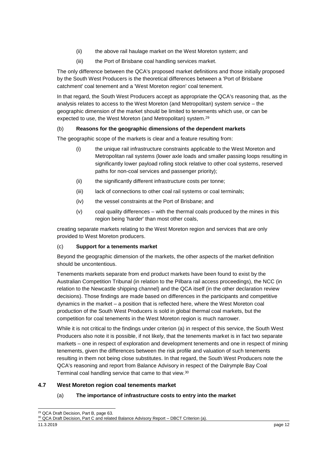- (ii) the above rail haulage market on the West Moreton system; and
- (iii) the Port of Brisbane coal handling services market.

The only difference between the QCA's proposed market definitions and those initially proposed by the South West Producers is the theoretical differences between a 'Port of Brisbane catchment' coal tenement and a 'West Moreton region' coal tenement.

In that regard, the South West Producers accept as appropriate the QCA's reasoning that, as the analysis relates to access to the West Moreton (and Metropolitan) system service – the geographic dimension of the market should be limited to tenements which use, or can be expected to use, the West Moreton (and Metropolitan) system.<sup>29</sup>

## (b) **Reasons for the geographic dimensions of the dependent markets**

The geographic scope of the markets is clear and a feature resulting from:

- (i) the unique rail infrastructure constraints applicable to the West Moreton and Metropolitan rail systems (lower axle loads and smaller passing loops resulting in significantly lower payload rolling stock relative to other coal systems, reserved paths for non-coal services and passenger priority);
- (ii) the significantly different infrastructure costs per tonne;
- (iii) lack of connections to other coal rail systems or coal terminals;
- (iv) the vessel constraints at the Port of Brisbane; and
- (v) coal quality differences with the thermal coals produced by the mines in this region being 'harder' than most other coals,

creating separate markets relating to the West Moreton region and services that are only provided to West Moreton producers.

### (c) **Support for a tenements market**

Beyond the geographic dimension of the markets, the other aspects of the market definition should be uncontentious.

Tenements markets separate from end product markets have been found to exist by the Australian Competition Tribunal (in relation to the Pilbara rail access proceedings), the NCC (in relation to the Newcastle shipping channel) and the QCA itself (in the other declaration review decisions). Those findings are made based on differences in the participants and competitive dynamics in the market – a position that is reflected here, where the West Moreton coal production of the South West Producers is sold in global thermal coal markets, but the competition for coal tenements in the West Moreton region is much narrower.

While it is not critical to the findings under criterion (a) in respect of this service, the South West Producers also note it is possible, if not likely, that the tenements market is in fact two separate markets – one in respect of exploration and development tenements and one in respect of mining tenements, given the differences between the risk profile and valuation of such tenements resulting in them not being close substitutes. In that regard, the South West Producers note the QCA's reasoning and report from Balance Advisory in respect of the Dalrymple Bay Coal Terminal coal handling service that came to that view.<sup>30</sup>

### <span id="page-11-0"></span>**4.7 West Moreton region coal tenements market**

### (a) **The importance of infrastructure costs to entry into the market**

<sup>-</sup><sup>29</sup> QCA Draft Decision, Part B, page 63.

<sup>&</sup>lt;sup>30</sup> QCA Draft Decision, Part C and related Balance Advisory Report - DBCT Criterion (a).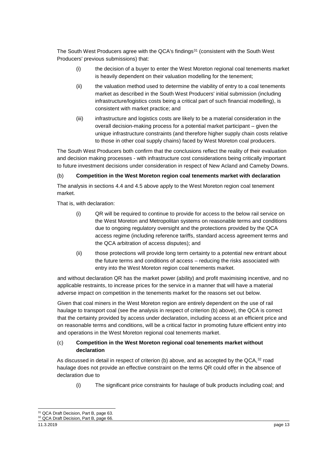The South West Producers agree with the QCA's findings<sup>31</sup> (consistent with the South West Producers' previous submissions) that:

- (i) the decision of a buyer to enter the West Moreton regional coal tenements market is heavily dependent on their valuation modelling for the tenement;
- (ii) the valuation method used to determine the viability of entry to a coal tenements market as described in the South West Producers' initial submission (including infrastructure/logistics costs being a critical part of such financial modelling), is consistent with market practice; and
- (iii) infrastructure and logistics costs are likely to be a material consideration in the overall decision-making process for a potential market participant – given the unique infrastructure constraints (and therefore higher supply chain costs relative to those in other coal supply chains) faced by West Moreton coal producers.

The South West Producers both confirm that the conclusions reflect the reality of their evaluation and decision making processes - with infrastructure cost considerations being critically important to future investment decisions under consideration in respect of New Acland and Cameby Downs.

### (b) **Competition in the West Moreton region coal tenements market with declaration**

The analysis in sections [4.4](#page-8-0) and [4.5](#page-9-0) above apply to the West Moreton region coal tenement market.

That is, with declaration:

- (i) QR will be required to continue to provide for access to the below rail service on the West Moreton and Metropolitan systems on reasonable terms and conditions due to ongoing regulatory oversight and the protections provided by the QCA access regime (including reference tariffs, standard access agreement terms and the QCA arbitration of access disputes); and
- (ii) those protections will provide long term certainty to a potential new entrant about the future terms and conditions of access – reducing the risks associated with entry into the West Moreton region coal tenements market.

and without declaration QR has the market power (ability) and profit maximising incentive, and no applicable restraints, to increase prices for the service in a manner that will have a material adverse impact on competition in the tenements market for the reasons set out below.

Given that coal miners in the West Moreton region are entirely dependent on the use of rail haulage to transport coal (see the analysis in respect of criterion (b) above), the QCA is correct that the certainty provided by access under declaration, including access at an efficient price and on reasonable terms and conditions, will be a critical factor in promoting future efficient entry into and operations in the West Moreton regional coal tenements market.

### (c) **Competition in the West Moreton regional coal tenements market without declaration**

As discussed in detail in respect of criterion (b) above, and as accepted by the QCA, 32 road haulage does not provide an effective constraint on the terms QR could offer in the absence of declaration due to

(i) The significant price constraints for haulage of bulk products including coal; and

<sup>-</sup><sup>31</sup> QCA Draft Decision, Part B, page 63. <sup>32</sup> QCA Draft Decision, Part B, page 66.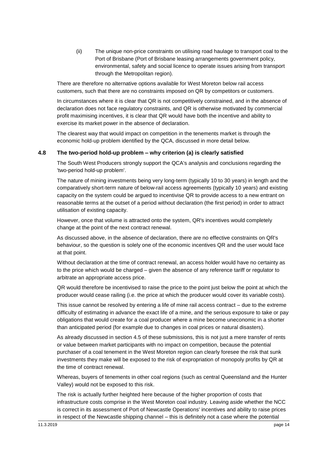(ii) The unique non-price constraints on utilising road haulage to transport coal to the Port of Brisbane (Port of Brisbane leasing arrangements government policy, environmental, safety and social licence to operate issues arising from transport through the Metropolitan region).

There are therefore no alternative options available for West Moreton below rail access customers, such that there are no constraints imposed on QR by competitors or customers.

In circumstances where it is clear that QR is not competitively constrained, and in the absence of declaration does not face regulatory constraints, and QR is otherwise motivated by commercial profit maximising incentives, it is clear that QR would have both the incentive and ability to exercise its market power in the absence of declaration.

The clearest way that would impact on competition in the tenements market is through the economic hold-up problem identified by the QCA, discussed in more detail below.

#### <span id="page-13-0"></span>**4.8 The two-period hold-up problem – why criterion (a) is clearly satisfied**

The South West Producers strongly support the QCA's analysis and conclusions regarding the 'two-period hold-up problem'.

The nature of mining investments being very long-term (typically 10 to 30 years) in length and the comparatively short-term nature of below-rail access agreements (typically 10 years) and existing capacity on the system could be argued to incentivise QR to provide access to a new entrant on reasonable terms at the outset of a period without declaration (the first period) in order to attract utilisation of existing capacity.

However, once that volume is attracted onto the system, QR's incentives would completely change at the point of the next contract renewal.

As discussed above, in the absence of declaration, there are no effective constraints on QR's behaviour, so the question is solely one of the economic incentives QR and the user would face at that point.

Without declaration at the time of contract renewal, an access holder would have no certainty as to the price which would be charged – given the absence of any reference tariff or regulator to arbitrate an appropriate access price.

QR would therefore be incentivised to raise the price to the point just below the point at which the producer would cease railing (i.e. the price at which the producer would cover its variable costs).

This issue cannot be resolved by entering a life of mine rail access contract – due to the extreme difficulty of estimating in advance the exact life of a mine, and the serious exposure to take or pay obligations that would create for a coal producer where a mine become uneconomic in a shorter than anticipated period (for example due to changes in coal prices or natural disasters).

As already discussed in section [4.5](#page-9-0) of these submissions, this is not just a mere transfer of rents or value between market participants with no impact on competition, because the potential purchaser of a coal tenement in the West Moreton region can clearly foresee the risk that sunk investments they make will be exposed to the risk of expropriation of monopoly profits by QR at the time of contract renewal.

Whereas, buyers of tenements in other coal regions (such as central Queensland and the Hunter Valley) would not be exposed to this risk.

The risk is actually further heighted here because of the higher proportion of costs that infrastructure costs comprise in the West Moreton coal industry. Leaving aside whether the NCC is correct in its assessment of Port of Newcastle Operations' incentives and ability to raise prices in respect of the Newcastle shipping channel – this is definitely not a case where the potential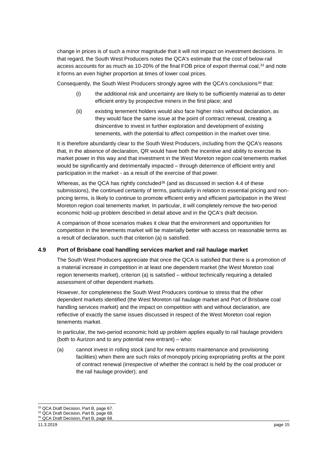change in prices is of such a minor magnitude that it will not impact on investment decisions. In that regard, the South West Producers notes the QCA's estimate that the cost of below-rail access accounts for as much as 10-20% of the final FOB price of export thermal coal,<sup>33</sup> and note it forms an even higher proportion at times of lower coal prices.

Consequently, the South West Producers strongly agree with the QCA's conclusions $34$  that:

- (i) the additional risk and uncertainty are likely to be sufficiently material as to deter efficient entry by prospective miners in the first place; and
- (ii) existing tenement holders would also face higher risks without declaration, as they would face the same issue at the point of contract renewal, creating a disincentive to invest in further exploration and development of existing tenements, with the potential to affect competition in the market over time.

It is therefore abundantly clear to the South West Producers, including from the QCA's reasons that, in the absence of declaration, QR would have both the incentive and ability to exercise its market power in this way and that investment in the West Moreton region coal tenements market would be significantly and detrimentally impacted – through deterrence of efficient entry and participation in the market - as a result of the exercise of that power.

Whereas, as the QCA has rightly concluded<sup>35</sup> (and as discussed in section [4.4](#page-8-0) of these submissions), the continued certainty of terms, particularly in relation to essential pricing and nonpricing terms, is likely to continue to promote efficient entry and efficient participation in the West Moreton region coal tenements market. In particular, it will completely remove the two-period economic hold-up problem described in detail above and in the QCA's draft decision.

A comparison of those scenarios makes it clear that the environment and opportunities for competition in the tenements market will be materially better with access on reasonable terms as a result of declaration, such that criterion (a) is satisfied.

### <span id="page-14-0"></span>**4.9 Port of Brisbane coal handling services market and rail haulage market**

The South West Producers appreciate that once the QCA is satisfied that there is a promotion of a material increase in competition in at least one dependent market (the West Moreton coal region tenements market), criterion (a) is satisfied – without technically requiring a detailed assessment of other dependent markets.

However, for completeness the South West Producers continue to stress that the other dependent markets identified (the West Moreton rail haulage market and Port of Brisbane coal handling services market) and the impact on competition with and without declaration, are reflective of exactly the same issues discussed in respect of the West Moreton coal region tenements market.

In particular, the two-period economic hold up problem applies equally to rail haulage providers (both to Aurizon and to any potential new entrant) – who:

(a) cannot invest in rolling stock (and for new entrants maintenance and provisioning facilities) when there are such risks of monopoly pricing expropriating profits at the point of contract renewal (irrespective of whether the contract is held by the coal producer or the rail haulage provider); and

<sup>1</sup> <sup>33</sup> QCA Draft Decision, Part B, page 67.

<sup>34</sup> QCA Draft Decision, Part B, page 68.

<sup>&</sup>lt;sup>35</sup> QCA Draft Decision, Part B, page 68.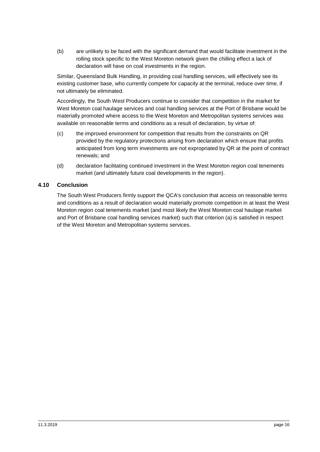(b) are unlikely to be faced with the significant demand that would facilitate investment in the rolling stock specific to the West Moreton network given the chilling effect a lack of declaration will have on coal investments in the region.

Similar, Queensland Bulk Handling, in providing coal handling services, will effectively see its existing customer base, who currently compete for capacity at the terminal, reduce over time, if not ultimately be eliminated.

Accordingly, the South West Producers continue to consider that competition in the market for West Moreton coal haulage services and coal handling services at the Port of Brisbane would be materially promoted where access to the West Moreton and Metropolitan systems services was available on reasonable terms and conditions as a result of declaration, by virtue of:

- (c) the improved environment for competition that results from the constraints on QR provided by the regulatory protections arising from declaration which ensure that profits anticipated from long term investments are not expropriated by QR at the point of contract renewals; and
- (d) declaration facilitating continued investment in the West Moreton region coal tenements market (and ultimately future coal developments in the region).

## <span id="page-15-0"></span>**4.10 Conclusion**

The South West Producers firmly support the QCA's conclusion that access on reasonable terms and conditions as a result of declaration would materially promote competition in at least the West Moreton region coal tenements market (and most likely the West Moreton coal haulage market and Port of Brisbane coal handling services market) such that criterion (a) is satisfied in respect of the West Moreton and Metropolitan systems services.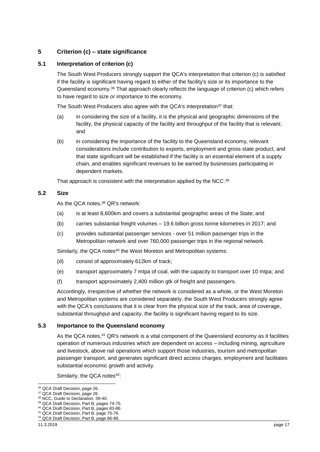## <span id="page-16-0"></span>**5 Criterion (c) – state significance**

### <span id="page-16-1"></span>**5.1 Interpretation of criterion (c)**

The South West Producers strongly support the QCA's interpretation that criterion (c) is satisfied if the facility is significant having regard to either of the facility's size or its importance to the Queensland economy.<sup>36</sup> That approach clearly reflects the language of criterion (c) which refers to have regard to size *or* importance to the economy.

The South West Producers also agree with the QCA's interpretation<sup>37</sup> that:

- (a) in considering the size of a facility, it is the physical and geographic dimensions of the facility, the physical capacity of the facility and throughput of the facility that is relevant; and
- (b) in considering the importance of the facility to the Queensland economy, relevant considerations include contribution to exports, employment and gross state product, and that state significant will be established if the facility is an essential element of a supply chain, and enables significant revenues to be earned by businesses participating in dependent markets.

That approach is consistent with the interpretation applied by the NCC.<sup>38</sup>

### <span id="page-16-2"></span>**5.2 Size**

As the QCA notes.<sup>39</sup> QR's network:

- (a) is at least 6,600km and covers a substantial geographic areas of the State; and
- (b) carries substantial freight volumes 19.6 billion gross tonne kilometres in 2017; and
- (c) provides substantial passenger services over 51 million passenger trips in the Metropolitan network and over 760,000 passenger trips in the regional network.

Similarly, the QCA notes<sup>40</sup> the West Moreton and Metropolitan systems:

- (d) consist of approximately 612km of track;
- (e) transport approximately 7 mtpa of coal, with the capacity to transport over 10 mtpa; and
- (f) transport approximately 2,400 million gtk of freight and passengers.

Accordingly, irrespective of whether the network is considered as a whole, or the West Moreton and Metropolitan systems are considered separately, the South West Producers strongly agree with the QCA's conclusions that it is clear from the physical size of the track, area of coverage, substantial throughput and capacity, the facility is significant having regard to its size.

#### <span id="page-16-3"></span>**5.3 Importance to the Queensland economy**

As the QCA notes,<sup>41</sup> QR's network is a vital component of the Queensland economy as it facilities operation of numerous industries which are dependent on access – including mining, agriculture and livestock, above rail operations which support those industries, tourism and metropolitan passenger transport, and generates significant direct access charges, employment and facilitates substantial economic growth and activity.

Similarly, the QCA notes<sup>42</sup>:

<sup>1</sup> <sup>36</sup> QCA Draft Decision, page 26.

<sup>&</sup>lt;sup>37</sup> QCA Draft Decision, page 26.

<sup>38</sup> NCC, Guide to Declaration, 39-40.

<sup>39</sup> QCA Draft Decision, Part B, pages 74-75.

<sup>40</sup> QCA Draft Decision, Part B, pages 83-86.

<sup>41</sup> QCA Draft Decision, Part B, page 75-76.

<sup>42</sup> QCA Draft Decision, Part B, page 86-88.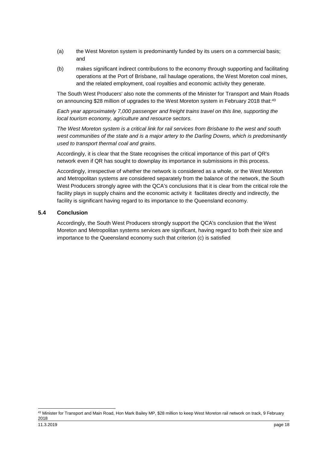- (a) the West Moreton system is predominantly funded by its users on a commercial basis; and
- (b) makes significant indirect contributions to the economy through supporting and facilitating operations at the Port of Brisbane, rail haulage operations, the West Moreton coal mines, and the related employment, coal royalties and economic activity they generate.

The South West Producers' also note the comments of the Minister for Transport and Main Roads on announcing \$28 million of upgrades to the West Moreton system in February 2018 that:<sup>43</sup>

*Each year approximately 7,000 passenger and freight trains travel on this line, supporting the local tourism economy, agriculture and resource sectors.*

*The West Moreton system is a critical link for rail services from Brisbane to the west and south*  west communities of the state and is a major artery to the Darling Downs, which is predominantly *used to transport thermal coal and grains.*

Accordingly, it is clear that the State recognises the critical importance of this part of QR's network even if QR has sought to downplay its importance in submissions in this process.

Accordingly, irrespective of whether the network is considered as a whole, or the West Moreton and Metropolitan systems are considered separately from the balance of the network, the South West Producers strongly agree with the QCA's conclusions that it is clear from the critical role the facility plays in supply chains and the economic activity it facilitates directly and indirectly, the facility is significant having regard to its importance to the Queensland economy.

#### <span id="page-17-0"></span>**5.4 Conclusion**

Accordingly, the South West Producers strongly support the QCA's conclusion that the West Moreton and Metropolitan systems services are significant, having regard to both their size and importance to the Queensland economy such that criterion (c) is satisfied

<sup>-</sup><sup>43</sup> Minister for Transport and Main Road, Hon Mark Bailey MP, \$28 million to keep West Moreton rail network on track, 9 February 2018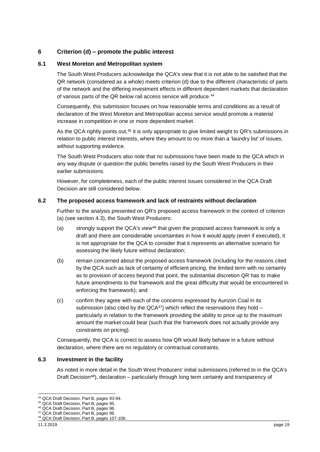## <span id="page-18-0"></span>**6 Criterion (d) – promote the public interest**

#### <span id="page-18-1"></span>**6.1 West Moreton and Metropolitan system**

The South West Producers acknowledge the QCA's view that it is not able to be satisfied that the QR network (considered as a whole) meets criterion (d) due to the different characteristic of parts of the network and the differing investment effects in different dependent markets that declaration of various parts of the QR below rail access service will produce.<sup>44</sup>

Consequently, this submission focuses on how reasonable terms and conditions as a result of declaration of the West Moreton and Metropolitan access service would promote a material increase in competition in one or more dependent market.

As the QCA rightly points out,<sup>45</sup> it is only appropriate to give limited weight to QR's submissions in relation to public interest interests, where they amount to no more than a 'laundry list' of issues, without supporting evidence.

The South West Producers also note that no submissions have been made to the QCA which in any way dispute or question the public benefits raised by the South West Producers in their earlier submissions.

However, for completeness, each of the public interest issues considered in the QCA Draft Decision are still considered below.

#### <span id="page-18-2"></span>**6.2 The proposed access framework and lack of restraints without declaration**

Further to the analysis presented on QR's proposed access framework in the context of criterion (a) (see section [4.3\)](#page-7-0), the South West Producers:

- (a) strongly support the QCA's view<sup>46</sup> that given the proposed access framework is only a draft and there are considerable uncertainties in how it would apply (even if executed), it is not appropriate for the QCA to consider that it represents an alternative scenario for assessing the likely future without declaration;
- (b) remain concerned about the proposed access framework (including for the reasons cited by the QCA such as lack of certainty of efficient pricing, the limited term with no certainty as to provision of access beyond that point, the substantial discretion QR has to make future amendments to the framework and the great difficulty that would be encountered in enforcing the framework); and
- (c) confirm they agree with each of the concerns expressed by Aurizon Coal in its submission (also cited by the QCA $47$ ) which reflect the reservations they hold – particularly in relation to the framework providing the ability to price up to the maximum amount the market could bear (such that the framework does not actually provide any constraints on pricing).

Consequently, the QCA is correct to assess how QR would likely behave in a future without declaration, where there are no regulatory or contractual constraints.

#### <span id="page-18-3"></span>**6.3 Investment in the facility**

As noted in more detail in the South West Producers' initial submissions (referred to in the QCA's Draft Decision<sup>48</sup>), declaration – particularly through long term certainty and transparency of

<sup>1</sup> <sup>44</sup> QCA Draft Decision, Part B, pages 93-94.

<sup>45</sup> QCA Draft Decision, Part B, pages 95.

<sup>46</sup> QCA Draft Decision, Part B, pages 96.

<sup>47</sup> QCA Draft Decision, Part B, pages 96.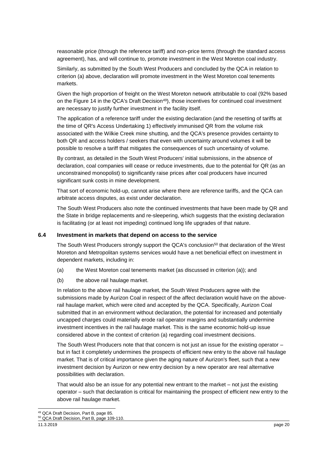reasonable price (through the reference tariff) and non-price terms (through the standard access agreement), has, and will continue to, promote investment in the West Moreton coal industry.

Similarly, as submitted by the South West Producers and concluded by the QCA in relation to criterion (a) above, declaration will promote investment in the West Moreton coal tenements markets.

Given the high proportion of freight on the West Moreton network attributable to coal (92% based on the Figure 14 in the QCA's Draft Decision<sup>49</sup>), those incentives for continued coal investment are necessary to justify further investment in the facility itself.

The application of a reference tariff under the existing declaration (and the resetting of tariffs at the time of QR's Access Undertaking 1) effectively immunised QR from the volume risk associated with the Wilkie Creek mine shutting, and the QCA's presence provides certainty to both QR and access holders / seekers that even with uncertainty around volumes it will be possible to resolve a tariff that mitigates the consequences of such uncertainty of volume.

By contrast, as detailed in the South West Producers' initial submissions, in the absence of declaration, coal companies will cease or reduce investments, due to the potential for QR (as an unconstrained monopolist) to significantly raise prices after coal producers have incurred significant sunk costs in mine development.

That sort of economic hold-up, cannot arise where there are reference tariffs, and the QCA can arbitrate access disputes, as exist under declaration.

The South West Producers also note the continued investments that have been made by QR and the State in bridge replacements and re-sleepering, which suggests that the existing declaration is facilitating (or at least not impeding) continued long life upgrades of that nature.

#### <span id="page-19-0"></span>**6.4 Investment in markets that depend on access to the service**

The South West Producers strongly support the QCA's conclusion<sup>50</sup> that declaration of the West Moreton and Metropolitan systems services would have a net beneficial effect on investment in dependent markets, including in:

- (a) the West Moreton coal tenements market (as discussed in criterion (a)); and
- (b) the above rail haulage market.

In relation to the above rail haulage market, the South West Producers agree with the submissions made by Aurizon Coal in respect of the affect declaration would have on the aboverail haulage market, which were cited and accepted by the QCA. Specifically, Aurizon Coal submitted that in an environment without declaration, the potential for increased and potentially uncapped charges could materially erode rail operator margins and substantially undermine investment incentives in the rail haulage market. This is the same economic hold-up issue considered above in the context of criterion (a) regarding coal investment decisions.

The South West Producers note that that concern is not just an issue for the existing operator – but in fact it completely undermines the prospects of efficient new entry to the above rail haulage market. That is of critical importance given the aging nature of Aurizon's fleet, such that a new investment decision by Aurizon or new entry decision by a new operator are real alternative possibilities with declaration.

That would also be an issue for any potential new entrant to the market – not just the existing operator – such that declaration is critical for maintaining the prospect of efficient new entry to the above rail haulage market.

<sup>-</sup><sup>49</sup> QCA Draft Decision, Part B, page 85. <sup>50</sup> QCA Draft Decision, Part B, page 109-110.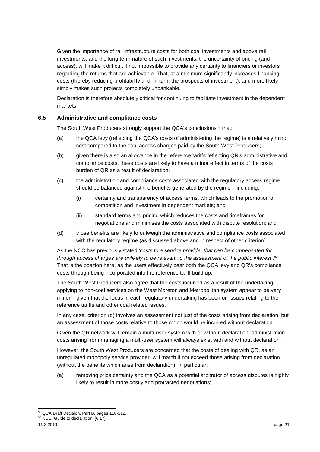Given the importance of rail infrastructure costs for both coal investments and above rail investments, and the long term nature of such investments, the uncertainty of pricing (and access), will make it difficult if not impossible to provide any certainty to financiers or investors regarding the returns that are achievable. That, at a minimum significantly increases financing costs (thereby reducing profitability and, in turn, the prospects of investment), and more likely simply makes such projects completely unbankable.

Declaration is therefore absolutely critical for continuing to facilitate investment in the dependent markets.

## <span id="page-20-0"></span>**6.5 Administrative and compliance costs**

The South West Producers strongly support the QCA's conclusions<sup>51</sup> that:

- (a) the QCA levy (reflecting the QCA's costs of administering the regime) is a relatively minor cost compared to the coal access charges paid by the South West Producers;
- (b) given there is also an allowance in the reference tariffs reflecting QR's administrative and compliance costs, these costs are likely to have a minor effect in terms of the costs burden of QR as a result of declaration;
- (c) the administration and compliance costs associated with the regulatory access regime should be balanced against the benefits generated by the regime – including:
	- (i) certainty and transparency of access terms, which leads to the promotion of competition and investment in dependent markets; and
	- (ii) standard terms and pricing which reduces the costs and timeframes for negotiations and minimises the costs associated with dispute resolution; and
- (d) those benefits are likely to outweigh the administrative and compliance costs associated with the regulatory regime (as discussed above and in respect of other criterion).

As the NCC has previously stated *'costs to a service provider that can be compensated for through access charges are unlikely to be relevant to the assessment of the public interest'*. 52 That is the position here, as the users effectively bear both the QCA levy and QR's compliance costs through being incorporated into the reference tariff build up.

The South West Producers also agree that the costs incurred as a result of the undertaking applying to non-coal services on the West Moreton and Metropolitan system appear to be very minor – given that the focus in each regulatory undertaking has been on issues relating to the reference tariffs and other coal related issues.

In any case, criterion (d) involves an assessment not just of the costs arising from declaration, but an assessment of those costs relative to those which would be incurred without declaration.

Given the QR network will remain a multi-user system with or without declaration, administration costs arising from managing a multi-user system will always exist with and without declaration.

However, the South West Producers are concerned that the costs of dealing with QR, as an unregulated monopoly service provider, will match if not exceed those arising from declaration (without the benefits which arise from declaration). In particular:

(a) removing price certainty and the QCA as a potential arbitrator of access disputes is highly likely to result in more costly and protracted negotiations;

<sup>-</sup><sup>51</sup> QCA Draft Decision, Part B, pages 110-112.

<sup>52</sup> NCC, Guide to declaration, [6.17].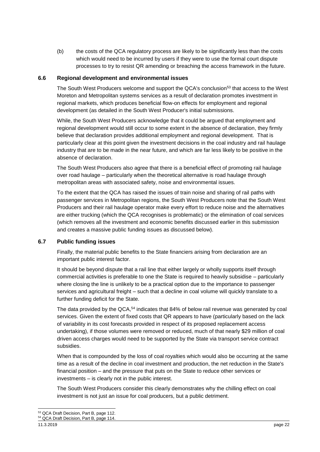(b) the costs of the QCA regulatory process are likely to be significantly less than the costs which would need to be incurred by users if they were to use the formal court dispute processes to try to resist QR amending or breaching the access framework in the future.

#### <span id="page-21-0"></span>**6.6 Regional development and environmental issues**

The South West Producers welcome and support the QCA's conclusion<sup>53</sup> that access to the West Moreton and Metropolitan systems services as a result of declaration promotes investment in regional markets, which produces beneficial flow-on effects for employment and regional development (as detailed in the South West Producer's initial submissions.

While, the South West Producers acknowledge that it could be argued that employment and regional development would still occur to some extent in the absence of declaration, they firmly believe that declaration provides additional employment and regional development. That is particularly clear at this point given the investment decisions in the coal industry and rail haulage industry that are to be made in the near future, and which are far less likely to be positive in the absence of declaration.

The South West Producers also agree that there is a beneficial effect of promoting rail haulage over road haulage – particularly when the theoretical alternative is road haulage through metropolitan areas with associated safety, noise and environmental issues.

To the extent that the QCA has raised the issues of train noise and sharing of rail paths with passenger services in Metropolitan regions, the South West Producers note that the South West Producers and their rail haulage operator make every effort to reduce noise and the alternatives are either trucking (which the QCA recognises is problematic) or the elimination of coal services (which removes all the investment and economic benefits discussed earlier in this submission and creates a massive public funding issues as discussed below).

### <span id="page-21-1"></span>**6.7 Public funding issues**

Finally, the material public benefits to the State financiers arising from declaration are an important public interest factor.

It should be beyond dispute that a rail line that either largely or wholly supports itself through commercial activities is preferable to one the State is required to heavily subsidise – particularly where closing the line is unlikely to be a practical option due to the importance to passenger services and agricultural freight – such that a decline in coal volume will quickly translate to a further funding deficit for the State.

The data provided by the QCA,<sup>54</sup> indicates that 84% of below rail revenue was generated by coal services. Given the extent of fixed costs that QR appears to have (particularly based on the lack of variability in its cost forecasts provided in respect of its proposed replacement access undertaking), if those volumes were removed or reduced, much of that nearly \$29 million of coal driven access charges would need to be supported by the State via transport service contract subsidies.

When that is compounded by the loss of coal royalties which would also be occurring at the same time as a result of the decline in coal investment and production, the net reduction in the State's financial position – and the pressure that puts on the State to reduce other services or investments – is clearly not in the public interest.

The South West Producers consider this clearly demonstrates why the chilling effect on coal investment is not just an issue for coal producers, but a public detriment.

<sup>-</sup>53 QCA Draft Decision, Part B, page 112.

<sup>54</sup> QCA Draft Decision, Part B, page 114.